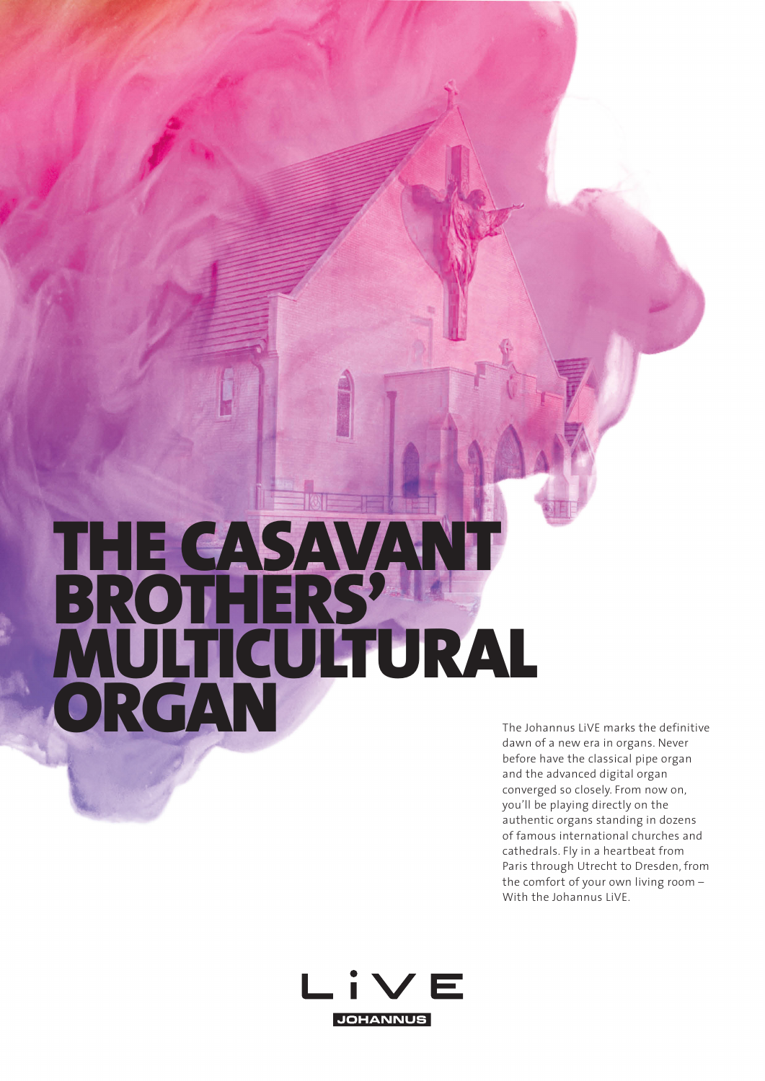## THE CASAVANT BROTHERS' MULTICULTURAL The Johannus LiVE marks the definitive<br>dawn of a new era in organs. Never

dawn of a new era in organs. Never before have the classical pipe organ and the advanced digital organ converged so closely. From now on, you'll be playing directly on the authentic organs standing in dozens of famous international churches and cathedrals. Fly in a heartbeat from Paris through Utrecht to Dresden, from the comfort of your own living room – With the Johannus LiVE.